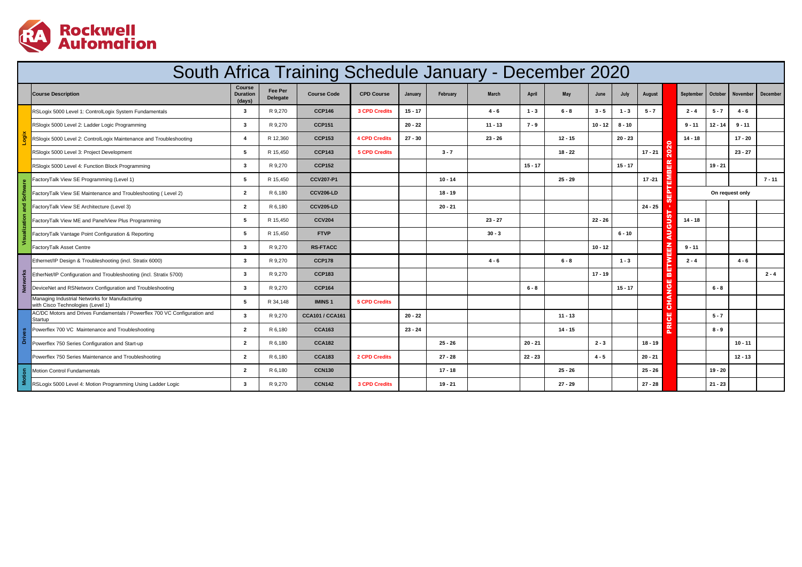

|              | South Africa Training Schedule January - December 2020                               |                                            |                            |                        |                      |           |           |           |           |           |           |           |           |                |                 |                |           |                 |  |
|--------------|--------------------------------------------------------------------------------------|--------------------------------------------|----------------------------|------------------------|----------------------|-----------|-----------|-----------|-----------|-----------|-----------|-----------|-----------|----------------|-----------------|----------------|-----------|-----------------|--|
|              | <b>Course Description</b>                                                            | <b>Course</b><br><b>Duration</b><br>(days) | Fee Per<br><b>Delegate</b> | <b>Course Code</b>     | <b>CPD Course</b>    | January   | February  | March     | April     | May       | June      | July      | August    |                | September       | <b>October</b> | November  | <b>December</b> |  |
|              | RSLogix 5000 Level 1: ControlLogix System Fundamentals                               | $\overline{\mathbf{3}}$                    | R 9,270                    | <b>CCP146</b>          | 3 CPD Credits        | $15 - 17$ |           | $4 - 6$   | $1 - 3$   | $6 - 8$   | $3 - 5$   | $1 - 3$   | $5 - 7$   |                | $2 - 4$         | $5 - 7$        | $4 - 6$   |                 |  |
|              | RSlogix 5000 Level 2: Ladder Logic Programming                                       | $\mathbf{3}$                               | R 9,270                    | <b>CCP151</b>          |                      | $20 - 22$ |           | $11 - 13$ | $7 - 9$   |           | $10 - 12$ | $8 - 10$  |           |                | $9 - 11$        | $12 - 14$      | $9 - 11$  |                 |  |
|              | RSlogix 5000 Level 2: ControlLogix Maintenance and Troubleshooting                   | $\overline{4}$                             | R 12,360                   | <b>CCP153</b>          | <b>4 CPD Credits</b> | $27 - 30$ |           | $23 - 26$ |           | $12 - 15$ |           | $20 - 23$ |           | $\overline{a}$ | $14 - 18$       |                | $17 - 20$ |                 |  |
|              | RSlogix 5000 Level 3: Project Development                                            | 5                                          | R 15.450                   | <b>CCP143</b>          | <b>5 CPD Credits</b> |           | $3 - 7$   |           |           | $18 - 22$ |           |           | $17 - 21$ | ន              |                 |                | $23 - 27$ |                 |  |
|              | RSlogix 5000 Level 4: Function Block Programming                                     | $\overline{\mathbf{3}}$                    | R 9,270                    | <b>CCP152</b>          |                      |           |           |           | $15 - 17$ |           |           | $15 - 17$ |           | œ<br>ш<br>m    |                 | $19 - 21$      |           |                 |  |
|              | FactoryTalk View SE Programming (Level 1)                                            | 5                                          | R 15,450                   | <b>CCV207-P1</b>       |                      |           | $10 - 14$ |           |           | $25 - 29$ |           |           | $17 - 21$ |                |                 |                |           | $7 - 11$        |  |
| Softwar      | FactoryTalk View SE Maintenance and Troubleshooting (Level 2)                        | $\overline{2}$                             | R 6,180                    | <b>CCV206-LD</b>       |                      |           | $18 - 19$ |           |           |           |           |           |           |                | On request only |                |           |                 |  |
| 7            | FactoryTalk View SE Architecture (Level 3)                                           | $\overline{2}$                             | R 6.180                    | <b>CCV205-LD</b>       |                      |           | $20 - 21$ |           |           |           |           |           | $24 - 25$ | ഗ              |                 |                |           |                 |  |
|              | FactoryTalk View ME and PanelView Plus Programming                                   | 5                                          | R 15,450                   | <b>CCV204</b>          |                      |           |           | $23 - 27$ |           |           | $22 - 26$ |           |           | ی<br>5         | $14 - 18$       |                |           |                 |  |
| visi iai iza | FactoryTalk Vantage Point Configuration & Reporting                                  | 5                                          | R 15,450                   | <b>FTVP</b>            |                      |           |           | $30 - 3$  |           |           |           | $6 - 10$  |           | ဖ<br>ã         |                 |                |           |                 |  |
|              | FactoryTalk Asset Centre                                                             | $\mathbf{3}$                               | R 9.270                    | <b>RS-FTACC</b>        |                      |           |           |           |           |           | $10 - 12$ |           |           | z              | $9 - 11$        |                |           |                 |  |
|              | Ethernet/IP Design & Troubleshooting (incl. Stratix 6000)                            | $\mathbf{3}$                               | R 9.270                    | <b>CCP178</b>          |                      |           |           | $4 - 6$   |           | $6 - 8$   |           | $1 - 3$   |           |                | $2 - 4$         |                | $4 - 6$   |                 |  |
|              | EtherNet/IP Configuration and Troubleshooting (incl. Stratix 5700)                   | $\mathbf{3}$                               | R 9.270                    | <b>CCP183</b>          |                      |           |           |           |           |           | $17 - 19$ |           |           | ш<br>m<br>ш    |                 |                |           | $2 - 4$         |  |
|              | DeviceNet and RSNetworx Configuration and Troubleshooting                            | $\mathbf{3}$                               | R 9,270                    | <b>CCP164</b>          |                      |           |           |           | $6 - 8$   |           |           | $15 - 17$ |           | ⊙<br>N<br>V    |                 | $6 - 8$        |           |                 |  |
|              | Managing Industrial Networks for Manufacturing<br>with Cisco Technologies (Level 1)  | 5                                          | R 34,148                   | <b>IMINS 1</b>         | <b>5 CPD Credits</b> |           |           |           |           |           |           |           |           | F<br>ō         |                 |                |           |                 |  |
|              | AC/DC Motors and Drives Fundamentals / Powerflex 700 VC Configuration and<br>Startup | $\mathbf{3}$                               | R 9.270                    | <b>CCA101 / CCA161</b> |                      | $20 - 22$ |           |           |           | $11 - 13$ |           |           |           | 쁭              |                 | $5 - 7$        |           |                 |  |
|              | Powerflex 700 VC Maintenance and Troubleshooting                                     | $\overline{2}$                             | R 6.180                    | <b>CCA163</b>          |                      | $23 - 24$ |           |           |           | $14 - 15$ |           |           |           | ૨              |                 | $8 - 9$        |           |                 |  |
| <b>Drive</b> | Powerflex 750 Series Configuration and Start-up                                      | $\overline{2}$                             | R 6.180                    | <b>CCA182</b>          |                      |           | $25 - 26$ |           | $20 - 21$ |           | $2 - 3$   |           | $18 - 19$ |                |                 |                | $10 - 11$ |                 |  |
|              | Powerflex 750 Series Maintenance and Troubleshooting                                 | $\overline{2}$                             | R 6.180                    | <b>CCA183</b>          | 2 CPD Credits        |           | $27 - 28$ |           | $22 - 23$ |           | $4 - 5$   |           | $20 - 21$ |                |                 |                | $12 - 13$ |                 |  |
| 5            | Motion Control Fundamentals                                                          | $\overline{2}$                             | R 6,180                    | <b>CCN130</b>          |                      |           | $17 - 18$ |           |           | $25 - 26$ |           |           | $25 - 26$ |                |                 | $19 - 20$      |           |                 |  |
| Moti         | RSLogix 5000 Level 4: Motion Programming Using Ladder Logic                          | $\mathbf{3}$                               | R 9,270                    | <b>CCN142</b>          | <b>3 CPD Credits</b> |           | $19 - 21$ |           |           | $27 - 29$ |           |           | $27 - 28$ |                |                 | $21 - 23$      |           |                 |  |